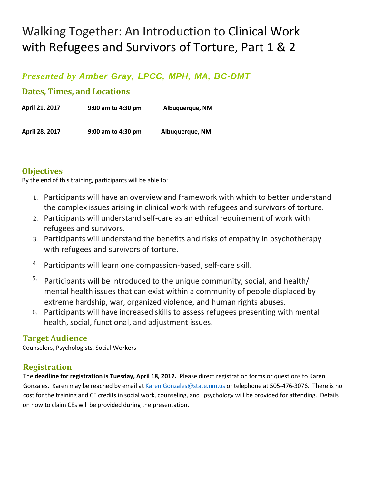# Walking Together: An Introduction to Clinical Work with Refugees and Survivors of Torture, Part 1 & 2

# *Presented by Amber Gray, LPCC, MPH, MA, BC-DMT*

## **Dates, Times, and Locations**

| April 21, 2017 | 9:00 am to 4:30 pm | Albuquerque, NM |
|----------------|--------------------|-----------------|
| April 28, 2017 | 9:00 am to 4:30 pm | Albuquerque, NM |

#### **Objectives**

By the end of this training, participants will be able to:

- 1. Participants will have an overview and framework with which to better understand the complex issues arising in clinical work with refugees and survivors of torture.
- 2. Participants will understand self-care as an ethical requirement of work with refugees and survivors.
- 3. Participants will understand the benefits and risks of empathy in psychotherapy with refugees and survivors of torture.
- 4. Participants will learn one compassion-based, self-care skill.
- 5. Participants will be introduced to the unique community, social, and health/ mental health issues that can exist within a community of people displaced by extreme hardship, war, organized violence, and human rights abuses.
- 6. Participants will have increased skills to assess refugees presenting with mental health, social, functional, and adjustment issues.

#### **Target Audience**

Counselors, Psychologists, Social Workers

# **Registration**

The **deadline for registration is Tuesday, April 18, 2017.** Please direct registration forms or questions to Karen Gonzales. Karen may be reached by email at Karen.Gonzales@state.nm.us or telephone at 505-476-3076. There is no cost for the training and CE credits in social work, counseling, and psychology will be provided for attending. Details on how to claim CEs will be provided during the presentation.